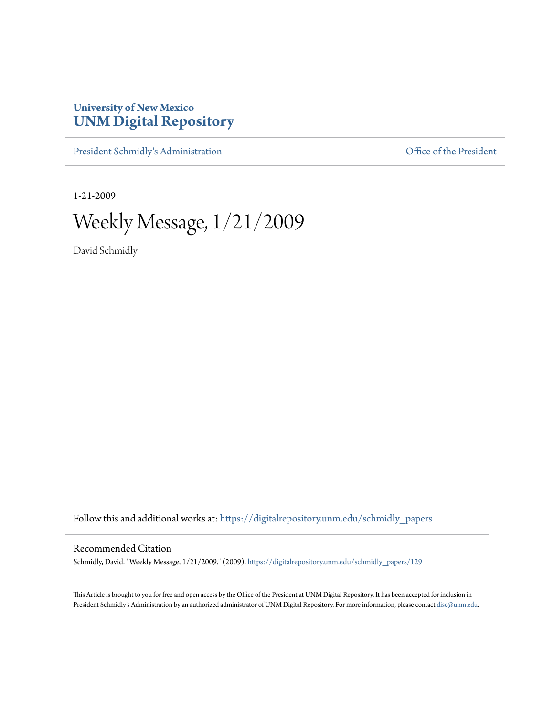## **University of New Mexico [UNM Digital Repository](https://digitalrepository.unm.edu?utm_source=digitalrepository.unm.edu%2Fschmidly_papers%2F129&utm_medium=PDF&utm_campaign=PDFCoverPages)**

[President Schmidly's Administration](https://digitalrepository.unm.edu/schmidly_papers?utm_source=digitalrepository.unm.edu%2Fschmidly_papers%2F129&utm_medium=PDF&utm_campaign=PDFCoverPages) [Office of the President](https://digitalrepository.unm.edu/ofc_president?utm_source=digitalrepository.unm.edu%2Fschmidly_papers%2F129&utm_medium=PDF&utm_campaign=PDFCoverPages)

1-21-2009

Weekly Message, 1/21/2009

David Schmidly

Follow this and additional works at: [https://digitalrepository.unm.edu/schmidly\\_papers](https://digitalrepository.unm.edu/schmidly_papers?utm_source=digitalrepository.unm.edu%2Fschmidly_papers%2F129&utm_medium=PDF&utm_campaign=PDFCoverPages)

## Recommended Citation

Schmidly, David. "Weekly Message, 1/21/2009." (2009). [https://digitalrepository.unm.edu/schmidly\\_papers/129](https://digitalrepository.unm.edu/schmidly_papers/129?utm_source=digitalrepository.unm.edu%2Fschmidly_papers%2F129&utm_medium=PDF&utm_campaign=PDFCoverPages)

This Article is brought to you for free and open access by the Office of the President at UNM Digital Repository. It has been accepted for inclusion in President Schmidly's Administration by an authorized administrator of UNM Digital Repository. For more information, please contact [disc@unm.edu](mailto:disc@unm.edu).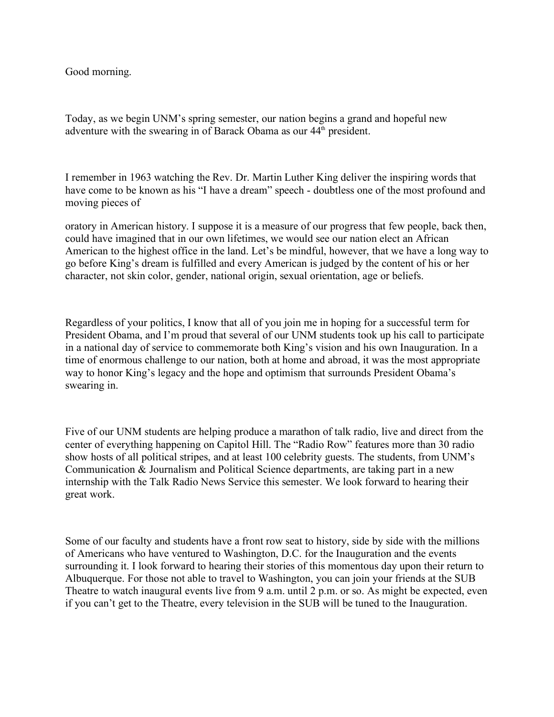Good morning.

Today, as we begin UNM's spring semester, our nation begins a grand and hopeful new adventure with the swearing in of Barack Obama as our  $44^{\text{th}}$  president.

I remember in 1963 watching the Rev. Dr. Martin Luther King deliver the inspiring words that have come to be known as his "I have a dream" speech - doubtless one of the most profound and moving pieces of

oratory in American history. I suppose it is a measure of our progress that few people, back then, could have imagined that in our own lifetimes, we would see our nation elect an African American to the highest office in the land. Let's be mindful, however, that we have a long way to go before King's dream is fulfilled and every American is judged by the content of his or her character, not skin color, gender, national origin, sexual orientation, age or beliefs.

Regardless of your politics, I know that all of you join me in hoping for a successful term for President Obama, and I'm proud that several of our UNM students took up his call to participate in a national day of service to commemorate both King's vision and his own Inauguration. In a time of enormous challenge to our nation, both at home and abroad, it was the most appropriate way to honor King's legacy and the hope and optimism that surrounds President Obama's swearing in.

Five of our UNM students are helping produce a marathon of talk radio, live and direct from the center of everything happening on Capitol Hill. The "Radio Row" features more than 30 radio show hosts of all political stripes, and at least 100 celebrity guests. The students, from UNM's Communication & Journalism and Political Science departments, are taking part in a new internship with the Talk Radio News Service this semester. We look forward to hearing their great work.

Some of our faculty and students have a front row seat to history, side by side with the millions of Americans who have ventured to Washington, D.C. for the Inauguration and the events surrounding it. I look forward to hearing their stories of this momentous day upon their return to Albuquerque. For those not able to travel to Washington, you can join your friends at the SUB Theatre to watch inaugural events live from 9 a.m. until 2 p.m. or so. As might be expected, even if you can't get to the Theatre, every television in the SUB will be tuned to the Inauguration.